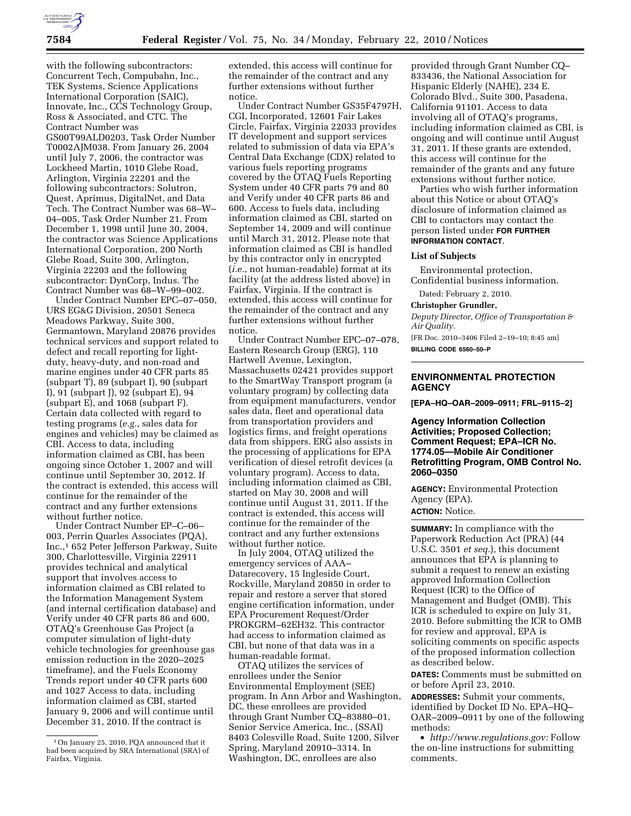

with the following subcontractors: Concurrent Tech, Compubahn, Inc., TEK Systems, Science Applications International Corporation (SAIC), Innovate, Inc., CCS Technology Group, Ross & Associated, and CTC. The Contract Number was GS00T99ALD0203, Task Order Number T0002AJM038. From January 26, 2004 until July 7, 2006, the contractor was Lockheed Martin, 1010 Glebe Road, Arlington, Virginia 22201 and the following subcontractors: Solutron, Quest, Aprimus, DigitalNet, and Data Tech. The Contract Number was 68–W– 04–005, Task Order Number 21. From December 1, 1998 until June 30, 2004, the contractor was Science Applications International Corporation, 200 North Glebe Road, Suite 300, Arlington, Virginia 22203 and the following subcontractor: DynCorp, Indus. The Contract Number was 68–W–99–002.

Under Contract Number EPC–07–050, URS EG&G Division, 20501 Seneca Meadows Parkway, Suite 300, Germantown, Maryland 20876 provides technical services and support related to defect and recall reporting for lightduty, heavy-duty, and non-road and marine engines under 40 CFR parts 85 (subpart T), 89 (subpart I), 90 (subpart I), 91 (subpart J), 92 (subpart E), 94 (subpart E), and 1068 (subpart F). Certain data collected with regard to testing programs (*e.g.*, sales data for engines and vehicles) may be claimed as CBI. Access to data, including information claimed as CBI, has been ongoing since October 1, 2007 and will continue until September 30, 2012. If the contract is extended, this access will continue for the remainder of the contract and any further extensions without further notice.

Under Contract Number EP–C–06– 003, Perrin Quarles Associates (PQA), Inc.,1 652 Peter Jefferson Parkway, Suite 300, Charlottesville, Virginia 22911 provides technical and analytical support that involves access to information claimed as CBI related to the Information Management System (and internal certification database) and Verify under 40 CFR parts 86 and 600, OTAQ's Greenhouse Gas Project (a computer simulation of light-duty vehicle technologies for greenhouse gas emission reduction in the 2020–2025 timeframe), and the Fuels Economy Trends report under 40 CFR parts 600 and 1027 Access to data, including information claimed as CBI, started January 9, 2006 and will continue until December 31, 2010. If the contract is

extended, this access will continue for the remainder of the contract and any further extensions without further notice.

Under Contract Number GS35F4797H, CGI, Incorporated, 12601 Fair Lakes Circle, Fairfax, Virginia 22033 provides IT development and support services related to submission of data via EPA's Central Data Exchange (CDX) related to various fuels reporting programs covered by the OTAQ Fuels Reporting System under 40 CFR parts 79 and 80 and Verify under 40 CFR parts 86 and 600. Access to fuels data, including information claimed as CBI, started on September 14, 2009 and will continue until March 31, 2012. Please note that information claimed as CBI is handled by this contractor only in encrypted (*i.e.*, not human-readable) format at its facility (at the address listed above) in Fairfax, Virginia. If the contract is extended, this access will continue for the remainder of the contract and any further extensions without further notice.

Under Contract Number EPC–07–078, Eastern Research Group (ERG), 110 Hartwell Avenue, Lexington, Massachusetts 02421 provides support to the SmartWay Transport program (a voluntary program) by collecting data from equipment manufacturers, vendor sales data, fleet and operational data from transportation providers and logistics firms, and freight operations data from shippers. ERG also assists in the processing of applications for EPA verification of diesel retrofit devices (a voluntary program). Access to data, including information claimed as CBI, started on May 30, 2008 and will continue until August 31, 2011. If the contract is extended, this access will continue for the remainder of the contract and any further extensions without further notice.

In July 2004, OTAQ utilized the emergency services of AAA– Datarecovery, 15 Ingleside Court, Rockville, Maryland 20850 in order to repair and restore a server that stored engine certification information, under EPA Procurement Request/Order PROKGRM–62EH32. This contractor had access to information claimed as CBI, but none of that data was in a human-readable format.

OTAQ utilizes the services of enrollees under the Senior Environmental Employment (SEE) program. In Ann Arbor and Washington, DC, these enrollees are provided through Grant Number CQ–83880–01, Senior Service America, Inc., (SSAI) 8403 Colesville Road, Suite 1200, Silver Spring, Maryland 20910–3314. In Washington, DC, enrollees are also

provided through Grant Number CQ– 833436, the National Association for Hispanic Elderly (NAHE), 234 E. Colorado Blvd., Suite 300, Pasadena, California 91101. Access to data involving all of OTAQ's programs, including information claimed as CBI, is ongoing and will continue until August 31, 2011. If these grants are extended, this access will continue for the remainder of the grants and any future extensions without further notice.

Parties who wish further information about this Notice or about OTAQ's disclosure of information claimed as CBI to contactors may contact the person listed under **FOR FURTHER INFORMATION CONTACT**.

#### **List of Subjects**

Environmental protection, Confidential business information.

Dated: February 2, 2010.

#### **Christopher Grundler,**

*Deputy Director, Office of Transportation & Air Quality.* 

[FR Doc. 2010–3406 Filed 2–19–10; 8:45 am] **BILLING CODE 6560–50–P** 

### **ENVIRONMENTAL PROTECTION AGENCY**

**[EPA–HQ–OAR–2009–0911; FRL–9115–2]** 

**Agency Information Collection Activities; Proposed Collection; Comment Request; EPA–ICR No. 1774.05—Mobile Air Conditioner Retrofitting Program, OMB Control No. 2060–0350** 

**AGENCY:** Environmental Protection Agency (EPA). **ACTION:** Notice.

**SUMMARY:** In compliance with the Paperwork Reduction Act (PRA) (44 U.S.C. 3501 *et seq.*), this document announces that EPA is planning to submit a request to renew an existing approved Information Collection Request (ICR) to the Office of Management and Budget (OMB). This ICR is scheduled to expire on July 31, 2010. Before submitting the ICR to OMB for review and approval, EPA is soliciting comments on specific aspects of the proposed information collection as described below.

**DATES:** Comments must be submitted on or before April 23, 2010.

**ADDRESSES:** Submit your comments, identified by Docket ID No. EPA–HQ– OAR–2009–0911 by one of the following methods:

• *http://www.regulations.gov:* Follow the on-line instructions for submitting comments.

<sup>1</sup>On January 25, 2010, PQA announced that it had been acquired by SRA International (SRA) of Fairfax, Virginia.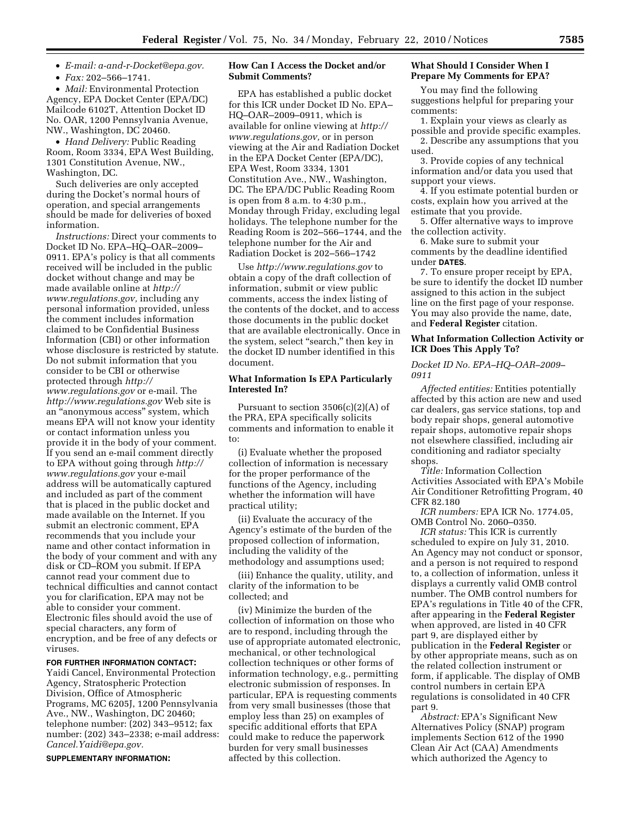• *E-mail: a-and-r-Docket@epa.gov.* 

• *Fax:* 202–566–1741.

• *Mail:* Environmental Protection Agency, EPA Docket Center (EPA/DC) Mailcode 6102T, Attention Docket ID No. OAR, 1200 Pennsylvania Avenue, NW., Washington, DC 20460.

• *Hand Delivery:* Public Reading Room, Room 3334, EPA West Building, 1301 Constitution Avenue, NW., Washington, DC.

Such deliveries are only accepted during the Docket's normal hours of operation, and special arrangements should be made for deliveries of boxed information.

*Instructions:* Direct your comments to Docket ID No. EPA–HQ–OAR–2009– 0911. EPA's policy is that all comments received will be included in the public docket without change and may be made available online at *http:// www.regulations.gov,* including any personal information provided, unless the comment includes information claimed to be Confidential Business Information (CBI) or other information whose disclosure is restricted by statute. Do not submit information that you consider to be CBI or otherwise protected through *http:// www.regulations.gov* or e-mail. The *http://www.regulations.gov* Web site is an ''anonymous access'' system, which means EPA will not know your identity or contact information unless you provide it in the body of your comment. If you send an e-mail comment directly to EPA without going through *http:// www.regulations.gov* your e-mail address will be automatically captured and included as part of the comment that is placed in the public docket and made available on the Internet. If you submit an electronic comment, EPA recommends that you include your name and other contact information in the body of your comment and with any disk or CD–ROM you submit. If EPA cannot read your comment due to technical difficulties and cannot contact you for clarification, EPA may not be able to consider your comment. Electronic files should avoid the use of special characters, any form of encryption, and be free of any defects or viruses.

## **FOR FURTHER INFORMATION CONTACT:**

Yaidi Cancel, Environmental Protection Agency, Stratospheric Protection Division, Office of Atmospheric Programs, MC 6205J, 1200 Pennsylvania Ave., NW., Washington, DC 20460; telephone number: (202) 343–9512; fax number: (202) 343–2338; e-mail address: *Cancel.Yaidi@epa.gov.* 

**SUPPLEMENTARY INFORMATION:** 

## **How Can I Access the Docket and/or Submit Comments?**

EPA has established a public docket for this ICR under Docket ID No. EPA– HQ–OAR–2009–0911, which is available for online viewing at *http:// www.regulations.gov,* or in person viewing at the Air and Radiation Docket in the EPA Docket Center (EPA/DC), EPA West, Room 3334, 1301 Constitution Ave., NW., Washington, DC. The EPA/DC Public Reading Room is open from 8 a.m. to 4:30 p.m., Monday through Friday, excluding legal holidays. The telephone number for the Reading Room is 202–566–1744, and the telephone number for the Air and Radiation Docket is 202–566–1742

Use *http://www.regulations.gov* to obtain a copy of the draft collection of information, submit or view public comments, access the index listing of the contents of the docket, and to access those documents in the public docket that are available electronically. Once in the system, select "search," then key in the docket ID number identified in this document.

## **What Information Is EPA Particularly Interested In?**

Pursuant to section  $3506(c)(2)(A)$  of the PRA, EPA specifically solicits comments and information to enable it to:

(i) Evaluate whether the proposed collection of information is necessary for the proper performance of the functions of the Agency, including whether the information will have practical utility;

(ii) Evaluate the accuracy of the Agency's estimate of the burden of the proposed collection of information, including the validity of the methodology and assumptions used;

(iii) Enhance the quality, utility, and clarity of the information to be collected; and

(iv) Minimize the burden of the collection of information on those who are to respond, including through the use of appropriate automated electronic, mechanical, or other technological collection techniques or other forms of information technology, e.g., permitting electronic submission of responses. In particular, EPA is requesting comments from very small businesses (those that employ less than 25) on examples of specific additional efforts that EPA could make to reduce the paperwork burden for very small businesses affected by this collection.

## **What Should I Consider When I Prepare My Comments for EPA?**

You may find the following suggestions helpful for preparing your comments:

1. Explain your views as clearly as possible and provide specific examples. 2. Describe any assumptions that you used.

3. Provide copies of any technical information and/or data you used that support your views.

4. If you estimate potential burden or costs, explain how you arrived at the estimate that you provide.

5. Offer alternative ways to improve the collection activity.

6. Make sure to submit your comments by the deadline identified under **DATES**.

7. To ensure proper receipt by EPA, be sure to identify the docket ID number assigned to this action in the subject line on the first page of your response. You may also provide the name, date, and **Federal Register** citation.

### **What Information Collection Activity or ICR Does This Apply To?**

### *Docket ID No. EPA–HQ–OAR–2009– 0911*

*Affected entities:* Entities potentially affected by this action are new and used car dealers, gas service stations, top and body repair shops, general automotive repair shops, automotive repair shops not elsewhere classified, including air conditioning and radiator specialty shops.

*Title:* Information Collection Activities Associated with EPA's Mobile Air Conditioner Retrofitting Program, 40 CFR 82.180

*ICR numbers:* EPA ICR No. 1774.05, OMB Control No. 2060–0350.

*ICR status:* This ICR is currently scheduled to expire on July 31, 2010. An Agency may not conduct or sponsor, and a person is not required to respond to, a collection of information, unless it displays a currently valid OMB control number. The OMB control numbers for EPA's regulations in Title 40 of the CFR, after appearing in the **Federal Register**  when approved, are listed in 40 CFR part 9, are displayed either by publication in the **Federal Register** or by other appropriate means, such as on the related collection instrument or form, if applicable. The display of OMB control numbers in certain EPA regulations is consolidated in 40 CFR part 9.

*Abstract:* EPA's Significant New Alternatives Policy (SNAP) program implements Section 612 of the 1990 Clean Air Act (CAA) Amendments which authorized the Agency to